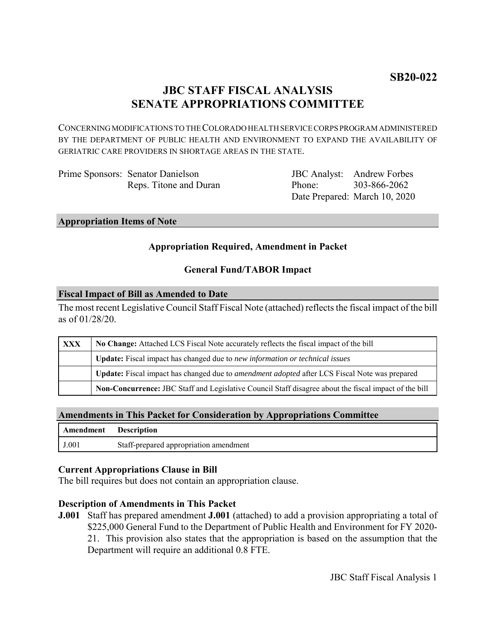# **JBC STAFF FISCAL ANALYSIS SENATE APPROPRIATIONS COMMITTEE**

CONCERNING MODIFICATIONS TO THE COLORADO HEALTH SERVICE CORPS PROGRAM ADMINISTERED BY THE DEPARTMENT OF PUBLIC HEALTH AND ENVIRONMENT TO EXPAND THE AVAILABILITY OF GERIATRIC CARE PROVIDERS IN SHORTAGE AREAS IN THE STATE.

Prime Sponsors: Senator Danielson Reps. Titone and Duran

JBC Analyst: Andrew Forbes Phone: Date Prepared: March 10, 2020 303-866-2062

#### **Appropriation Items of Note**

### **Appropriation Required, Amendment in Packet**

### **General Fund/TABOR Impact**

#### **Fiscal Impact of Bill as Amended to Date**

The most recent Legislative Council Staff Fiscal Note (attached) reflects the fiscal impact of the bill as of 01/28/20.

| XXX | No Change: Attached LCS Fiscal Note accurately reflects the fiscal impact of the bill                       |
|-----|-------------------------------------------------------------------------------------------------------------|
|     | <b>Update:</b> Fiscal impact has changed due to new information or technical issues                         |
|     | <b>Update:</b> Fiscal impact has changed due to <i>amendment adopted</i> after LCS Fiscal Note was prepared |
|     | Non-Concurrence: JBC Staff and Legislative Council Staff disagree about the fiscal impact of the bill       |

#### **Amendments in This Packet for Consideration by Appropriations Committee**

| <b>Amendment</b> Description |                                        |
|------------------------------|----------------------------------------|
| J.001                        | Staff-prepared appropriation amendment |

#### **Current Appropriations Clause in Bill**

The bill requires but does not contain an appropriation clause.

#### **Description of Amendments in This Packet**

**J.001** Staff has prepared amendment **J.001** (attached) to add a provision appropriating a total of \$225,000 General Fund to the Department of Public Health and Environment for FY 2020- 21. This provision also states that the appropriation is based on the assumption that the Department will require an additional 0.8 FTE.